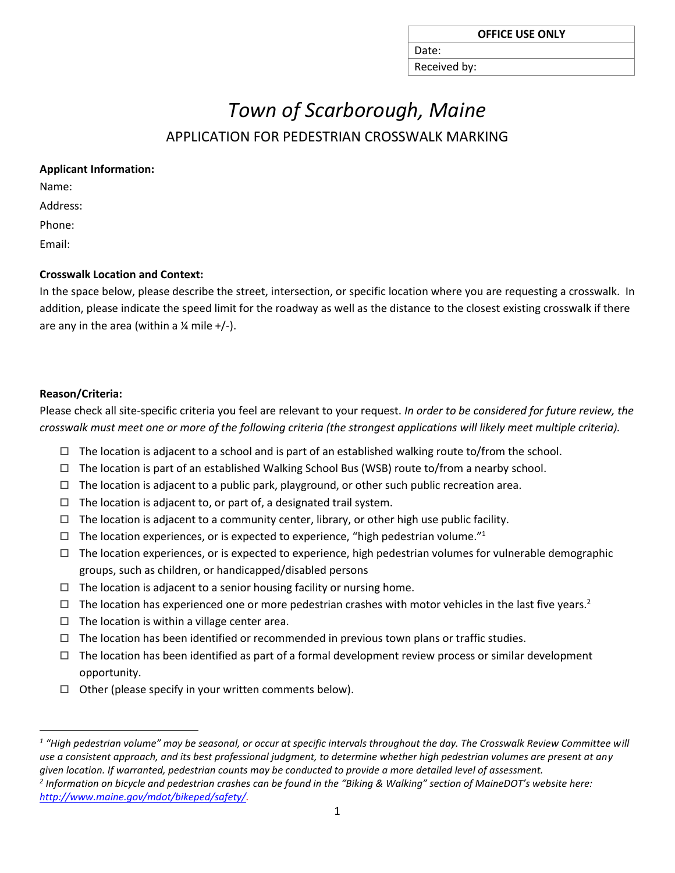| <b>OFFICE USE ONLY</b> |  |  |  |  |
|------------------------|--|--|--|--|
|------------------------|--|--|--|--|

Received by:

Date:

# *Town of Scarborough, Maine*

# APPLICATION FOR PEDESTRIAN CROSSWALK MARKING

|  | <b>Applicant Information:</b> |
|--|-------------------------------|
|--|-------------------------------|

Name:

Address:

Phone:

Email:

## **Crosswalk Location and Context:**

In the space below, please describe the street, intersection, or specific location where you are requesting a crosswalk. In addition, please indicate the speed limit for the roadway as well as the distance to the closest existing crosswalk if there are any in the area (within a  $\frac{1}{4}$  mile +/-).

## **Reason/Criteria:**

Please check all site-specific criteria you feel are relevant to your request. *In order to be considered for future review, the crosswalk must meet one or more of the following criteria (the strongest applications will likely meet multiple criteria).*

- $\Box$  The location is adjacent to a school and is part of an established walking route to/from the school.
- $\Box$  The location is part of an established Walking School Bus (WSB) route to/from a nearby school.
- $\Box$  The location is adjacent to a public park, playground, or other such public recreation area.
- $\Box$  The location is adjacent to, or part of, a designated trail system.
- $\Box$  The location is adjacent to a community center, library, or other high use public facility.
- $\Box$  The location experiences, or is expected to experience, "high pedestrian volume."<sup>1</sup>
- $\Box$  The location experiences, or is expected to experience, high pedestrian volumes for vulnerable demographic groups, such as children, or handicapped/disabled persons
- $\Box$  The location is adjacent to a senior housing facility or nursing home.
- $\Box$  The location has experienced one or more pedestrian crashes with motor vehicles in the last five years.<sup>2</sup>
- $\Box$  The location is within a village center area.
- $\Box$  The location has been identified or recommended in previous town plans or traffic studies.
- $\Box$  The location has been identified as part of a formal development review process or similar development opportunity.
- $\Box$  Other (please specify in your written comments below).

*2 Information on bicycle and pedestrian crashes can be found in the "Biking & Walking" section of MaineDOT's website here: [http://www.maine.gov/mdot/bikeped/safety/.](http://www.maine.gov/mdot/bikeped/safety/)*

 $\overline{a}$ *1 "High pedestrian volume" may be seasonal, or occur at specific intervals throughout the day. The Crosswalk Review Committee will use a consistent approach, and its best professional judgment, to determine whether high pedestrian volumes are present at any given location. If warranted, pedestrian counts may be conducted to provide a more detailed level of assessment.*